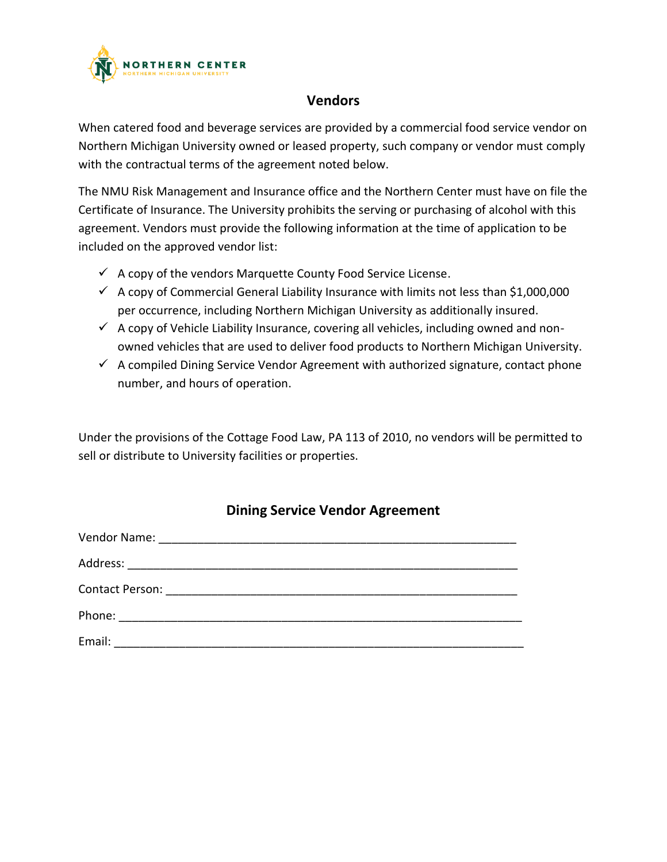

## **Vendors**

When catered food and beverage services are provided by a commercial food service vendor on Northern Michigan University owned or leased property, such company or vendor must comply with the contractual terms of the agreement noted below.

The NMU Risk Management and Insurance office and the Northern Center must have on file the Certificate of Insurance. The University prohibits the serving or purchasing of alcohol with this agreement. Vendors must provide the following information at the time of application to be included on the approved vendor list:

- $\checkmark$  A copy of the vendors Marquette County Food Service License.
- $\checkmark$  A copy of Commercial General Liability Insurance with limits not less than \$1,000,000 per occurrence, including Northern Michigan University as additionally insured.
- $\checkmark$  A copy of Vehicle Liability Insurance, covering all vehicles, including owned and nonowned vehicles that are used to deliver food products to Northern Michigan University.
- $\checkmark$  A compiled Dining Service Vendor Agreement with authorized signature, contact phone number, and hours of operation.

Under the provisions of the Cottage Food Law, PA 113 of 2010, no vendors will be permitted to sell or distribute to University facilities or properties.

## **Dining Service Vendor Agreement**

| Phone: __________________________________ |  |  |
|-------------------------------------------|--|--|
| Email:                                    |  |  |